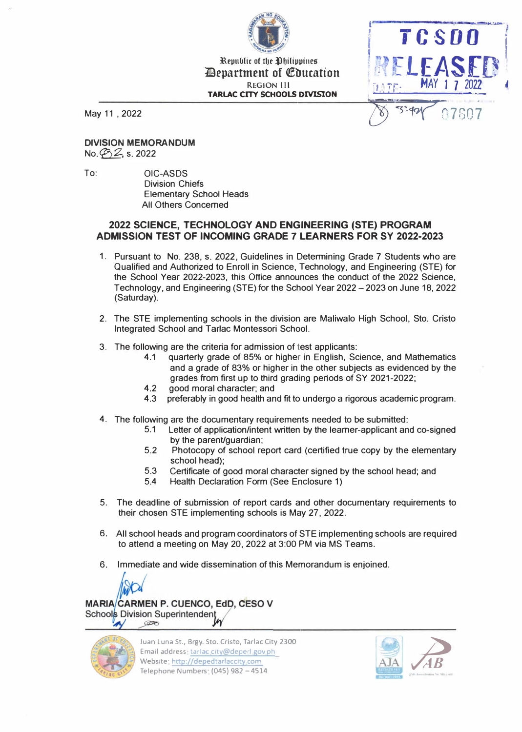

**<u>Republic of the Philippines</u> 11Bepartment of Qfbucation**  REGION 111 **TARLAC CITY SCHOOLS DIVISION** 



**DIVISION MEMORANDUM**   $No. 292, s. 2022$ 

To: OIC-ASDS Division Chiefs Elementary School Heads All Others Concerned

## **2022 SCIENCE, TECHNOLOGY AND ENGINEERING (STE) PROGRAM ADMISSION TEST OF INCOMING GRADE 7 LEARNERS FOR SY 2022-2023**

- 1 . Pursuant to No. 238, s. 2022, Guidelines in Determining Grade 7 Students who are Qualified and Authorized to Enroll in Science, Technology, and Engineering (STE) for the School Year 2022-2023, this Office announces the conduct of the 2022 Science, Technology, and Engineering (STE) for the School Year 2022-2023 on June 18, 2022 (Saturday).
- 2. The STE implementing schools in the division are Maliwalo High School, Sto. Cristo Integrated School and Tar1ac Montessori School.
- 3. The following are the criteria for admission of test applicants:
	- 4.1 quarterly grade of 85% or higher in English, Science, and Mathematics and a grade of 83% or higher in the other subjects as evidenced by the grades from first up to third grading periods of SY 2021-2022;
	- 4.2 good moral character; and
	- 4.3 preferably in good health and fit to undergo a rigorous academic program.
- 4. The following are the documentary requirements needed to be submitted:
	- 5.1 Letter of application/intent written by the learner-applicant and co-signed by the parent/guardian;
	- 5.2 Photocopy of school report card (certified true copy by the elementary school head);
	- 5.3 Certificate of good moral character signed by the school head; and
	- 5.4 Health Declaration Form (See Enclosure 1)
- 5. The deadline of submission of report cards and other documentary requirements to their chosen STE implementing schools is May 27, 2022.
- 6. All school heads and program coordinators of STE implementing schools are required to attend a meeting on May 20, 2022 at 3:00 PM via MS Teams.
- 6. Immediate and wide dissemination of this Memorandum is enjoined.



MARIA/CARMEN P. CUENCO, EdD, CESO V Schools Division Superintendent  $\circledcirc$ 



Juan Luna St., Brgy. Sto. Cristo, Tarlac City 2300 Email address: tarlac city@deped.gov.ph Website: http://depedtarlaccity.com Juan Luna St., Brgy. Sto. Cristo, Tarlac City 2300<br>Email address: <u>tarlac city@deped.gov.ph</u><br>Telephone Numbers: (045) 982 - 4514 **RS**<br>Telephone Numbers: (045) 982 - 4514